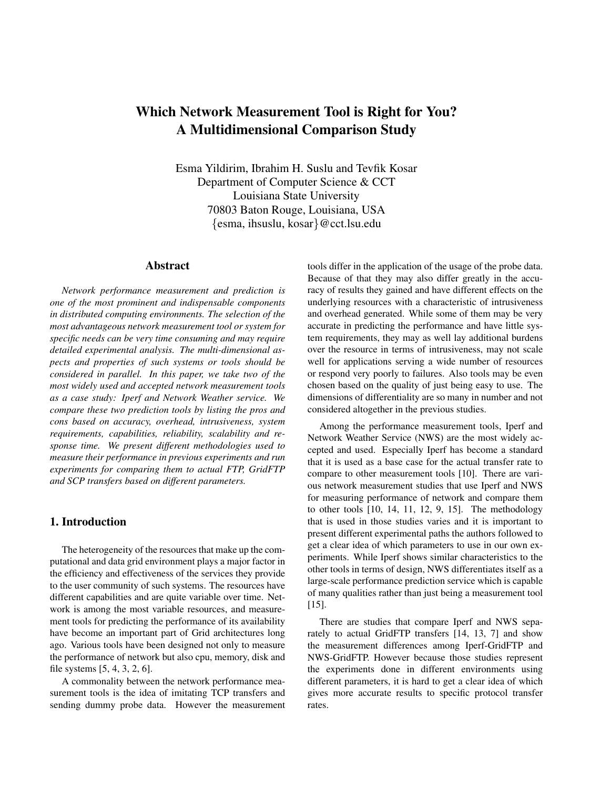# Which Network Measurement Tool is Right for You? A Multidimensional Comparison Study

Esma Yildirim, Ibrahim H. Suslu and Tevfik Kosar Department of Computer Science & CCT Louisiana State University 70803 Baton Rouge, Louisiana, USA {esma, ihsuslu, kosar}@cct.lsu.edu

## Abstract

*Network performance measurement and prediction is one of the most prominent and indispensable components in distributed computing environments. The selection of the most advantageous network measurement tool or system for specific needs can be very time consuming and may require detailed experimental analysis. The multi-dimensional aspects and properties of such systems or tools should be considered in parallel. In this paper, we take two of the most widely used and accepted network measurement tools as a case study: Iperf and Network Weather service. We compare these two prediction tools by listing the pros and cons based on accuracy, overhead, intrusiveness, system requirements, capabilities, reliability, scalability and response time. We present different methodologies used to measure their performance in previous experiments and run experiments for comparing them to actual FTP, GridFTP and SCP transfers based on different parameters.*

# 1. Introduction

The heterogeneity of the resources that make up the computational and data grid environment plays a major factor in the efficiency and effectiveness of the services they provide to the user community of such systems. The resources have different capabilities and are quite variable over time. Network is among the most variable resources, and measurement tools for predicting the performance of its availability have become an important part of Grid architectures long ago. Various tools have been designed not only to measure the performance of network but also cpu, memory, disk and file systems [5, 4, 3, 2, 6].

A commonality between the network performance measurement tools is the idea of imitating TCP transfers and sending dummy probe data. However the measurement tools differ in the application of the usage of the probe data. Because of that they may also differ greatly in the accuracy of results they gained and have different effects on the underlying resources with a characteristic of intrusiveness and overhead generated. While some of them may be very accurate in predicting the performance and have little system requirements, they may as well lay additional burdens over the resource in terms of intrusiveness, may not scale well for applications serving a wide number of resources or respond very poorly to failures. Also tools may be even chosen based on the quality of just being easy to use. The dimensions of differentiality are so many in number and not considered altogether in the previous studies.

Among the performance measurement tools, Iperf and Network Weather Service (NWS) are the most widely accepted and used. Especially Iperf has become a standard that it is used as a base case for the actual transfer rate to compare to other measurement tools [10]. There are various network measurement studies that use Iperf and NWS for measuring performance of network and compare them to other tools [10, 14, 11, 12, 9, 15]. The methodology that is used in those studies varies and it is important to present different experimental paths the authors followed to get a clear idea of which parameters to use in our own experiments. While Iperf shows similar characteristics to the other tools in terms of design, NWS differentiates itself as a large-scale performance prediction service which is capable of many qualities rather than just being a measurement tool [15].

There are studies that compare Iperf and NWS separately to actual GridFTP transfers [14, 13, 7] and show the measurement differences among Iperf-GridFTP and NWS-GridFTP. However because those studies represent the experiments done in different environments using different parameters, it is hard to get a clear idea of which gives more accurate results to specific protocol transfer rates.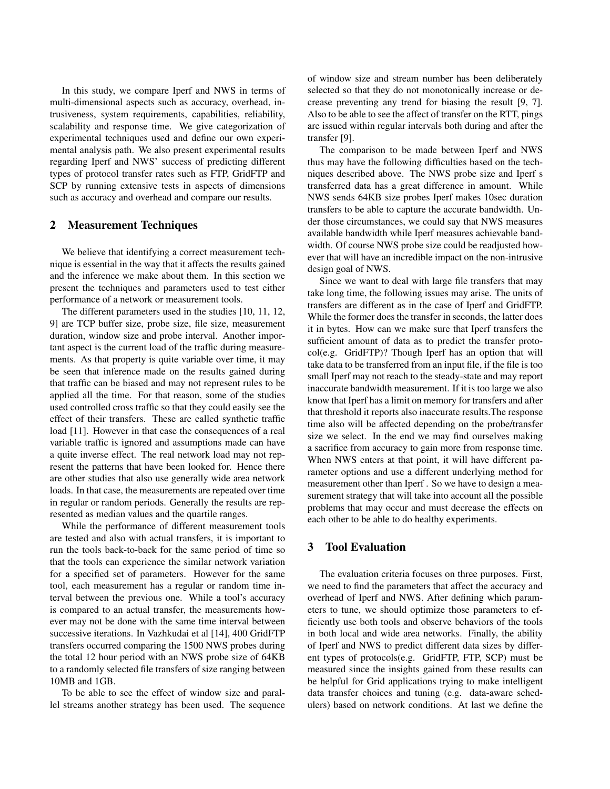In this study, we compare Iperf and NWS in terms of multi-dimensional aspects such as accuracy, overhead, intrusiveness, system requirements, capabilities, reliability, scalability and response time. We give categorization of experimental techniques used and define our own experimental analysis path. We also present experimental results regarding Iperf and NWS' success of predicting different types of protocol transfer rates such as FTP, GridFTP and SCP by running extensive tests in aspects of dimensions such as accuracy and overhead and compare our results.

# 2 Measurement Techniques

We believe that identifying a correct measurement technique is essential in the way that it affects the results gained and the inference we make about them. In this section we present the techniques and parameters used to test either performance of a network or measurement tools.

The different parameters used in the studies [10, 11, 12, 9] are TCP buffer size, probe size, file size, measurement duration, window size and probe interval. Another important aspect is the current load of the traffic during measurements. As that property is quite variable over time, it may be seen that inference made on the results gained during that traffic can be biased and may not represent rules to be applied all the time. For that reason, some of the studies used controlled cross traffic so that they could easily see the effect of their transfers. These are called synthetic traffic load [11]. However in that case the consequences of a real variable traffic is ignored and assumptions made can have a quite inverse effect. The real network load may not represent the patterns that have been looked for. Hence there are other studies that also use generally wide area network loads. In that case, the measurements are repeated over time in regular or random periods. Generally the results are represented as median values and the quartile ranges.

While the performance of different measurement tools are tested and also with actual transfers, it is important to run the tools back-to-back for the same period of time so that the tools can experience the similar network variation for a specified set of parameters. However for the same tool, each measurement has a regular or random time interval between the previous one. While a tool's accuracy is compared to an actual transfer, the measurements however may not be done with the same time interval between successive iterations. In Vazhkudai et al [14], 400 GridFTP transfers occurred comparing the 1500 NWS probes during the total 12 hour period with an NWS probe size of 64KB to a randomly selected file transfers of size ranging between 10MB and 1GB.

To be able to see the effect of window size and parallel streams another strategy has been used. The sequence of window size and stream number has been deliberately selected so that they do not monotonically increase or decrease preventing any trend for biasing the result [9, 7]. Also to be able to see the affect of transfer on the RTT, pings are issued within regular intervals both during and after the transfer [9].

The comparison to be made between Iperf and NWS thus may have the following difficulties based on the techniques described above. The NWS probe size and Iperf s transferred data has a great difference in amount. While NWS sends 64KB size probes Iperf makes 10sec duration transfers to be able to capture the accurate bandwidth. Under those circumstances, we could say that NWS measures available bandwidth while Iperf measures achievable bandwidth. Of course NWS probe size could be readjusted however that will have an incredible impact on the non-intrusive design goal of NWS.

Since we want to deal with large file transfers that may take long time, the following issues may arise. The units of transfers are different as in the case of Iperf and GridFTP. While the former does the transfer in seconds, the latter does it in bytes. How can we make sure that Iperf transfers the sufficient amount of data as to predict the transfer protocol(e.g. GridFTP)? Though Iperf has an option that will take data to be transferred from an input file, if the file is too small Iperf may not reach to the steady-state and may report inaccurate bandwidth measurement. If it is too large we also know that Iperf has a limit on memory for transfers and after that threshold it reports also inaccurate results.The response time also will be affected depending on the probe/transfer size we select. In the end we may find ourselves making a sacrifice from accuracy to gain more from response time. When NWS enters at that point, it will have different parameter options and use a different underlying method for measurement other than Iperf . So we have to design a measurement strategy that will take into account all the possible problems that may occur and must decrease the effects on each other to be able to do healthy experiments.

# 3 Tool Evaluation

The evaluation criteria focuses on three purposes. First, we need to find the parameters that affect the accuracy and overhead of Iperf and NWS. After defining which parameters to tune, we should optimize those parameters to efficiently use both tools and observe behaviors of the tools in both local and wide area networks. Finally, the ability of Iperf and NWS to predict different data sizes by different types of protocols(e.g. GridFTP, FTP, SCP) must be measured since the insights gained from these results can be helpful for Grid applications trying to make intelligent data transfer choices and tuning (e.g. data-aware schedulers) based on network conditions. At last we define the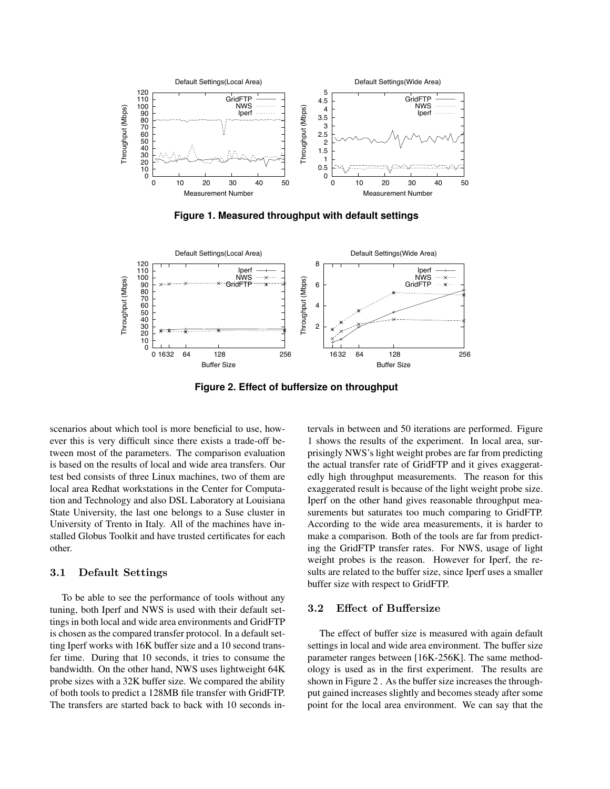

**Figure 1. Measured throughput with default settings**



**Figure 2. Effect of buffersize on throughput**

scenarios about which tool is more beneficial to use, however this is very difficult since there exists a trade-off between most of the parameters. The comparison evaluation is based on the results of local and wide area transfers. Our test bed consists of three Linux machines, two of them are local area Redhat workstations in the Center for Computation and Technology and also DSL Laboratory at Louisiana State University, the last one belongs to a Suse cluster in University of Trento in Italy. All of the machines have installed Globus Toolkit and have trusted certificates for each other.

#### 3.1 Default Settings

To be able to see the performance of tools without any tuning, both Iperf and NWS is used with their default settings in both local and wide area environments and GridFTP is chosen as the compared transfer protocol. In a default setting Iperf works with 16K buffer size and a 10 second transfer time. During that 10 seconds, it tries to consume the bandwidth. On the other hand, NWS uses lightweight 64K probe sizes with a 32K buffer size. We compared the ability of both tools to predict a 128MB file transfer with GridFTP. The transfers are started back to back with 10 seconds intervals in between and 50 iterations are performed. Figure 1 shows the results of the experiment. In local area, surprisingly NWS's light weight probes are far from predicting the actual transfer rate of GridFTP and it gives exaggeratedly high throughput measurements. The reason for this exaggerated result is because of the light weight probe size. Iperf on the other hand gives reasonable throughput measurements but saturates too much comparing to GridFTP. According to the wide area measurements, it is harder to make a comparison. Both of the tools are far from predicting the GridFTP transfer rates. For NWS, usage of light weight probes is the reason. However for Iperf, the results are related to the buffer size, since Iperf uses a smaller buffer size with respect to GridFTP.

### 3.2 Effect of Buffersize

The effect of buffer size is measured with again default settings in local and wide area environment. The buffer size parameter ranges between [16K-256K]. The same methodology is used as in the first experiment. The results are shown in Figure 2 . As the buffer size increases the throughput gained increases slightly and becomes steady after some point for the local area environment. We can say that the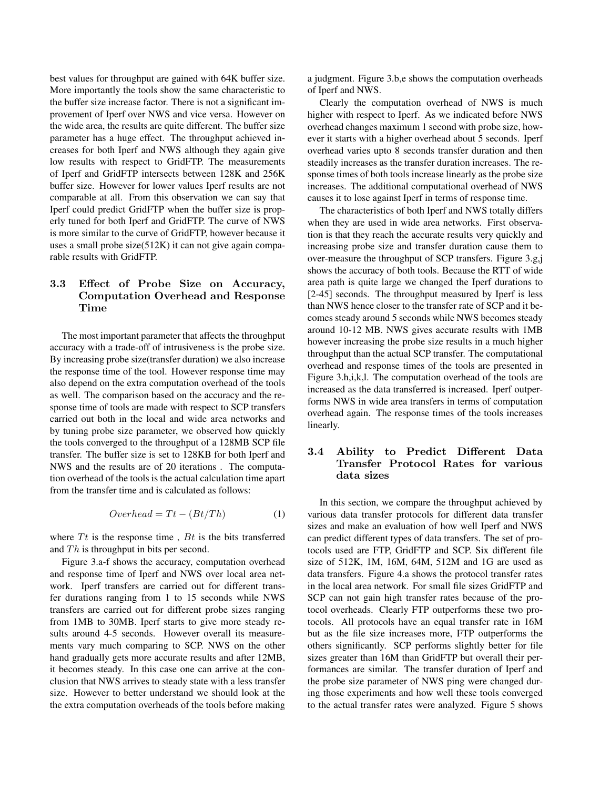best values for throughput are gained with 64K buffer size. More importantly the tools show the same characteristic to the buffer size increase factor. There is not a significant improvement of Iperf over NWS and vice versa. However on the wide area, the results are quite different. The buffer size parameter has a huge effect. The throughput achieved increases for both Iperf and NWS although they again give low results with respect to GridFTP. The measurements of Iperf and GridFTP intersects between 128K and 256K buffer size. However for lower values Iperf results are not comparable at all. From this observation we can say that Iperf could predict GridFTP when the buffer size is properly tuned for both Iperf and GridFTP. The curve of NWS is more similar to the curve of GridFTP, however because it uses a small probe size(512K) it can not give again comparable results with GridFTP.

# 3.3 Effect of Probe Size on Accuracy, Computation Overhead and Response Time

The most important parameter that affects the throughput accuracy with a trade-off of intrusiveness is the probe size. By increasing probe size(transfer duration) we also increase the response time of the tool. However response time may also depend on the extra computation overhead of the tools as well. The comparison based on the accuracy and the response time of tools are made with respect to SCP transfers carried out both in the local and wide area networks and by tuning probe size parameter, we observed how quickly the tools converged to the throughput of a 128MB SCP file transfer. The buffer size is set to 128KB for both Iperf and NWS and the results are of 20 iterations . The computation overhead of the tools is the actual calculation time apart from the transfer time and is calculated as follows:

$$
Overhead = Tt - (Bt/Th)
$$
 (1)

where  $Tt$  is the response time,  $Bt$  is the bits transferred and  $Th$  is throughput in bits per second.

Figure 3.a-f shows the accuracy, computation overhead and response time of Iperf and NWS over local area network. Iperf transfers are carried out for different transfer durations ranging from 1 to 15 seconds while NWS transfers are carried out for different probe sizes ranging from 1MB to 30MB. Iperf starts to give more steady results around 4-5 seconds. However overall its measurements vary much comparing to SCP. NWS on the other hand gradually gets more accurate results and after 12MB, it becomes steady. In this case one can arrive at the conclusion that NWS arrives to steady state with a less transfer size. However to better understand we should look at the the extra computation overheads of the tools before making a judgment. Figure 3.b,e shows the computation overheads of Iperf and NWS.

Clearly the computation overhead of NWS is much higher with respect to Iperf. As we indicated before NWS overhead changes maximum 1 second with probe size, however it starts with a higher overhead about 5 seconds. Iperf overhead varies upto 8 seconds transfer duration and then steadily increases as the transfer duration increases. The response times of both tools increase linearly as the probe size increases. The additional computational overhead of NWS causes it to lose against Iperf in terms of response time.

The characteristics of both Iperf and NWS totally differs when they are used in wide area networks. First observation is that they reach the accurate results very quickly and increasing probe size and transfer duration cause them to over-measure the throughput of SCP transfers. Figure 3.g,j shows the accuracy of both tools. Because the RTT of wide area path is quite large we changed the Iperf durations to [2-45] seconds. The throughput measured by Iperf is less than NWS hence closer to the transfer rate of SCP and it becomes steady around 5 seconds while NWS becomes steady around 10-12 MB. NWS gives accurate results with 1MB however increasing the probe size results in a much higher throughput than the actual SCP transfer. The computational overhead and response times of the tools are presented in Figure 3.h,i,k,l. The computation overhead of the tools are increased as the data transferred is increased. Iperf outperforms NWS in wide area transfers in terms of computation overhead again. The response times of the tools increases linearly.

# 3.4 Ability to Predict Different Data Transfer Protocol Rates for various data sizes

In this section, we compare the throughput achieved by various data transfer protocols for different data transfer sizes and make an evaluation of how well Iperf and NWS can predict different types of data transfers. The set of protocols used are FTP, GridFTP and SCP. Six different file size of 512K, 1M, 16M, 64M, 512M and 1G are used as data transfers. Figure 4.a shows the protocol transfer rates in the local area network. For small file sizes GridFTP and SCP can not gain high transfer rates because of the protocol overheads. Clearly FTP outperforms these two protocols. All protocols have an equal transfer rate in 16M but as the file size increases more, FTP outperforms the others significantly. SCP performs slightly better for file sizes greater than 16M than GridFTP but overall their performances are similar. The transfer duration of Iperf and the probe size parameter of NWS ping were changed during those experiments and how well these tools converged to the actual transfer rates were analyzed. Figure 5 shows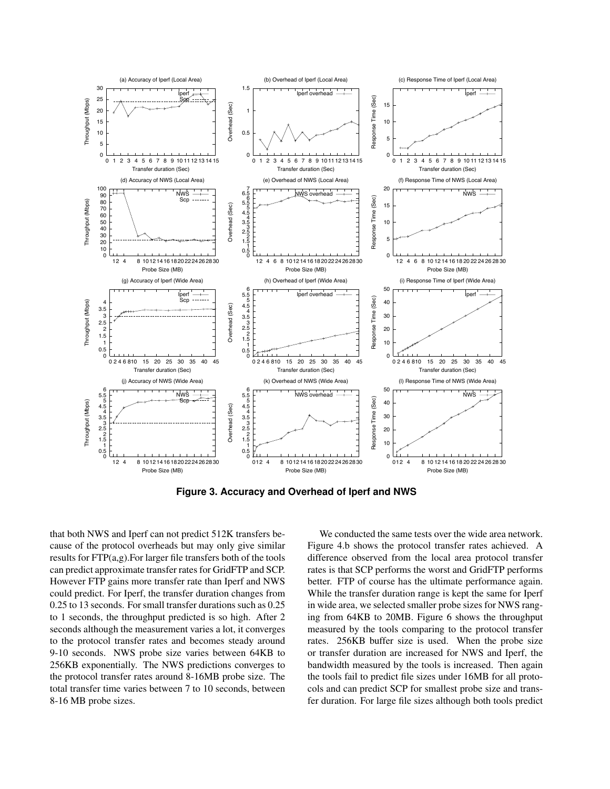

**Figure 3. Accuracy and Overhead of Iperf and NWS**

that both NWS and Iperf can not predict 512K transfers because of the protocol overheads but may only give similar results for FTP(a,g).For larger file transfers both of the tools can predict approximate transfer rates for GridFTP and SCP. However FTP gains more transfer rate than Iperf and NWS could predict. For Iperf, the transfer duration changes from 0.25 to 13 seconds. For small transfer durations such as 0.25 to 1 seconds, the throughput predicted is so high. After 2 seconds although the measurement varies a lot, it converges to the protocol transfer rates and becomes steady around 9-10 seconds. NWS probe size varies between 64KB to 256KB exponentially. The NWS predictions converges to the protocol transfer rates around 8-16MB probe size. The total transfer time varies between 7 to 10 seconds, between 8-16 MB probe sizes.

We conducted the same tests over the wide area network. Figure 4.b shows the protocol transfer rates achieved. A difference observed from the local area protocol transfer rates is that SCP performs the worst and GridFTP performs better. FTP of course has the ultimate performance again. While the transfer duration range is kept the same for Iperf in wide area, we selected smaller probe sizes for NWS ranging from 64KB to 20MB. Figure 6 shows the throughput measured by the tools comparing to the protocol transfer rates. 256KB buffer size is used. When the probe size or transfer duration are increased for NWS and Iperf, the bandwidth measured by the tools is increased. Then again the tools fail to predict file sizes under 16MB for all protocols and can predict SCP for smallest probe size and transfer duration. For large file sizes although both tools predict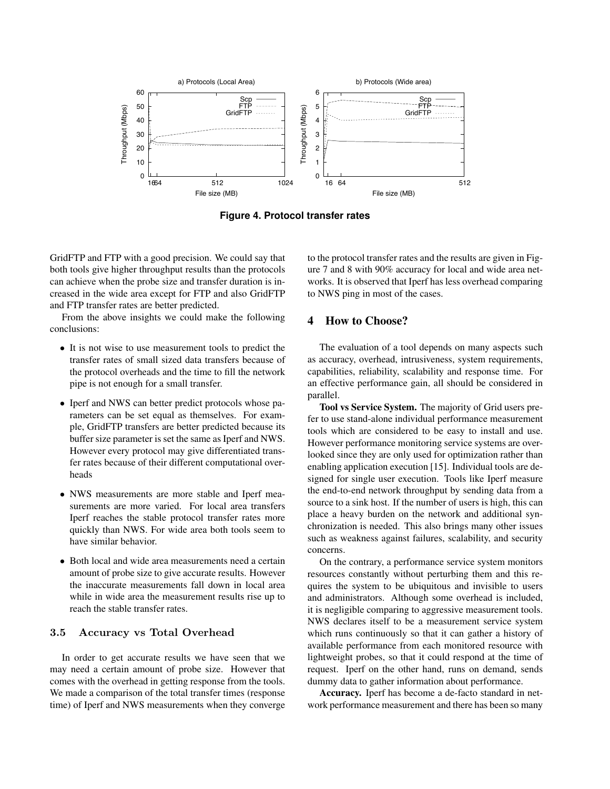

**Figure 4. Protocol transfer rates**

GridFTP and FTP with a good precision. We could say that both tools give higher throughput results than the protocols can achieve when the probe size and transfer duration is increased in the wide area except for FTP and also GridFTP and FTP transfer rates are better predicted.

From the above insights we could make the following conclusions:

- It is not wise to use measurement tools to predict the transfer rates of small sized data transfers because of the protocol overheads and the time to fill the network pipe is not enough for a small transfer.
- Iperf and NWS can better predict protocols whose parameters can be set equal as themselves. For example, GridFTP transfers are better predicted because its buffer size parameter is set the same as Iperf and NWS. However every protocol may give differentiated transfer rates because of their different computational overheads
- NWS measurements are more stable and Iperf measurements are more varied. For local area transfers Iperf reaches the stable protocol transfer rates more quickly than NWS. For wide area both tools seem to have similar behavior.
- Both local and wide area measurements need a certain amount of probe size to give accurate results. However the inaccurate measurements fall down in local area while in wide area the measurement results rise up to reach the stable transfer rates.

# 3.5 Accuracy vs Total Overhead

In order to get accurate results we have seen that we may need a certain amount of probe size. However that comes with the overhead in getting response from the tools. We made a comparison of the total transfer times (response time) of Iperf and NWS measurements when they converge to the protocol transfer rates and the results are given in Figure 7 and 8 with 90% accuracy for local and wide area networks. It is observed that Iperf has less overhead comparing to NWS ping in most of the cases.

#### 4 How to Choose?

The evaluation of a tool depends on many aspects such as accuracy, overhead, intrusiveness, system requirements, capabilities, reliability, scalability and response time. For an effective performance gain, all should be considered in parallel.

Tool vs Service System. The majority of Grid users prefer to use stand-alone individual performance measurement tools which are considered to be easy to install and use. However performance monitoring service systems are overlooked since they are only used for optimization rather than enabling application execution [15]. Individual tools are designed for single user execution. Tools like Iperf measure the end-to-end network throughput by sending data from a source to a sink host. If the number of users is high, this can place a heavy burden on the network and additional synchronization is needed. This also brings many other issues such as weakness against failures, scalability, and security concerns.

On the contrary, a performance service system monitors resources constantly without perturbing them and this requires the system to be ubiquitous and invisible to users and administrators. Although some overhead is included, it is negligible comparing to aggressive measurement tools. NWS declares itself to be a measurement service system which runs continuously so that it can gather a history of available performance from each monitored resource with lightweight probes, so that it could respond at the time of request. Iperf on the other hand, runs on demand, sends dummy data to gather information about performance.

Accuracy. Iperf has become a de-facto standard in network performance measurement and there has been so many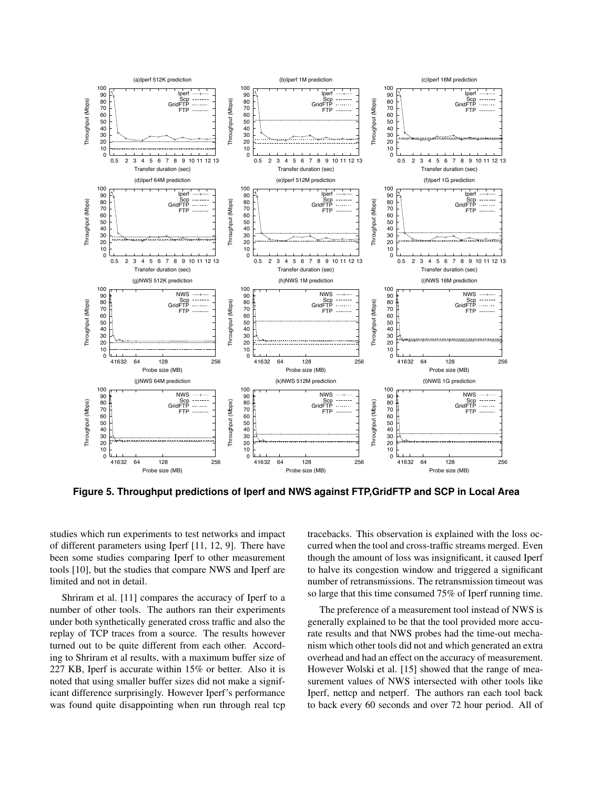

**Figure 5. Throughput predictions of Iperf and NWS against FTP,GridFTP and SCP in Local Area**

studies which run experiments to test networks and impact of different parameters using Iperf [11, 12, 9]. There have been some studies comparing Iperf to other measurement tools [10], but the studies that compare NWS and Iperf are limited and not in detail.

Shriram et al. [11] compares the accuracy of Iperf to a number of other tools. The authors ran their experiments under both synthetically generated cross traffic and also the replay of TCP traces from a source. The results however turned out to be quite different from each other. According to Shriram et al results, with a maximum buffer size of 227 KB, Iperf is accurate within 15% or better. Also it is noted that using smaller buffer sizes did not make a significant difference surprisingly. However Iperf's performance was found quite disappointing when run through real tcp

tracebacks. This observation is explained with the loss occurred when the tool and cross-traffic streams merged. Even though the amount of loss was insignificant, it caused Iperf to halve its congestion window and triggered a significant number of retransmissions. The retransmission timeout was so large that this time consumed 75% of Iperf running time.

The preference of a measurement tool instead of NWS is generally explained to be that the tool provided more accurate results and that NWS probes had the time-out mechanism which other tools did not and which generated an extra overhead and had an effect on the accuracy of measurement. However Wolski et al. [15] showed that the range of measurement values of NWS intersected with other tools like Iperf, nettcp and netperf. The authors ran each tool back to back every 60 seconds and over 72 hour period. All of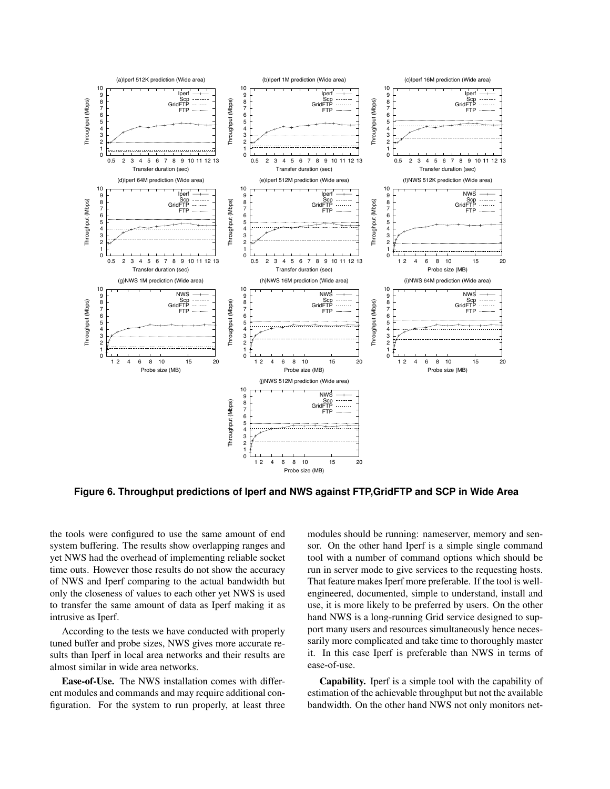

**Figure 6. Throughput predictions of Iperf and NWS against FTP,GridFTP and SCP in Wide Area**

the tools were configured to use the same amount of end system buffering. The results show overlapping ranges and yet NWS had the overhead of implementing reliable socket time outs. However those results do not show the accuracy of NWS and Iperf comparing to the actual bandwidth but only the closeness of values to each other yet NWS is used to transfer the same amount of data as Iperf making it as intrusive as Iperf.

According to the tests we have conducted with properly tuned buffer and probe sizes, NWS gives more accurate results than Iperf in local area networks and their results are almost similar in wide area networks.

Ease-of-Use. The NWS installation comes with different modules and commands and may require additional configuration. For the system to run properly, at least three modules should be running: nameserver, memory and sensor. On the other hand Iperf is a simple single command tool with a number of command options which should be run in server mode to give services to the requesting hosts. That feature makes Iperf more preferable. If the tool is wellengineered, documented, simple to understand, install and use, it is more likely to be preferred by users. On the other hand NWS is a long-running Grid service designed to support many users and resources simultaneously hence necessarily more complicated and take time to thoroughly master it. In this case Iperf is preferable than NWS in terms of ease-of-use.

Capability. Iperf is a simple tool with the capability of estimation of the achievable throughput but not the available bandwidth. On the other hand NWS not only monitors net-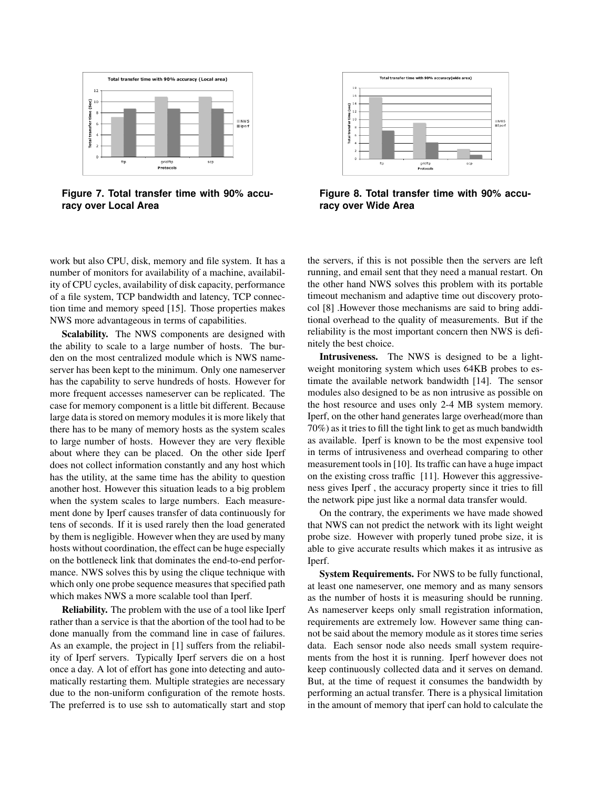

**Figure 7. Total transfer time with 90% accuracy over Local Area**

work but also CPU, disk, memory and file system. It has a number of monitors for availability of a machine, availability of CPU cycles, availability of disk capacity, performance of a file system, TCP bandwidth and latency, TCP connection time and memory speed [15]. Those properties makes NWS more advantageous in terms of capabilities.

Scalability. The NWS components are designed with the ability to scale to a large number of hosts. The burden on the most centralized module which is NWS nameserver has been kept to the minimum. Only one nameserver has the capability to serve hundreds of hosts. However for more frequent accesses nameserver can be replicated. The case for memory component is a little bit different. Because large data is stored on memory modules it is more likely that there has to be many of memory hosts as the system scales to large number of hosts. However they are very flexible about where they can be placed. On the other side Iperf does not collect information constantly and any host which has the utility, at the same time has the ability to question another host. However this situation leads to a big problem when the system scales to large numbers. Each measurement done by Iperf causes transfer of data continuously for tens of seconds. If it is used rarely then the load generated by them is negligible. However when they are used by many hosts without coordination, the effect can be huge especially on the bottleneck link that dominates the end-to-end performance. NWS solves this by using the clique technique with which only one probe sequence measures that specified path which makes NWS a more scalable tool than Iperf.

Reliability. The problem with the use of a tool like Iperf rather than a service is that the abortion of the tool had to be done manually from the command line in case of failures. As an example, the project in [1] suffers from the reliability of Iperf servers. Typically Iperf servers die on a host once a day. A lot of effort has gone into detecting and automatically restarting them. Multiple strategies are necessary due to the non-uniform configuration of the remote hosts. The preferred is to use ssh to automatically start and stop



**Figure 8. Total transfer time with 90% accuracy over Wide Area**

the servers, if this is not possible then the servers are left running, and email sent that they need a manual restart. On the other hand NWS solves this problem with its portable timeout mechanism and adaptive time out discovery protocol [8] .However those mechanisms are said to bring additional overhead to the quality of measurements. But if the reliability is the most important concern then NWS is definitely the best choice.

Intrusiveness. The NWS is designed to be a lightweight monitoring system which uses 64KB probes to estimate the available network bandwidth [14]. The sensor modules also designed to be as non intrusive as possible on the host resource and uses only 2-4 MB system memory. Iperf, on the other hand generates large overhead(more than 70%) as it tries to fill the tight link to get as much bandwidth as available. Iperf is known to be the most expensive tool in terms of intrusiveness and overhead comparing to other measurement tools in [10]. Its traffic can have a huge impact on the existing cross traffic [11]. However this aggressiveness gives Iperf , the accuracy property since it tries to fill the network pipe just like a normal data transfer would.

On the contrary, the experiments we have made showed that NWS can not predict the network with its light weight probe size. However with properly tuned probe size, it is able to give accurate results which makes it as intrusive as Iperf.

System Requirements. For NWS to be fully functional, at least one nameserver, one memory and as many sensors as the number of hosts it is measuring should be running. As nameserver keeps only small registration information, requirements are extremely low. However same thing cannot be said about the memory module as it stores time series data. Each sensor node also needs small system requirements from the host it is running. Iperf however does not keep continuously collected data and it serves on demand. But, at the time of request it consumes the bandwidth by performing an actual transfer. There is a physical limitation in the amount of memory that iperf can hold to calculate the